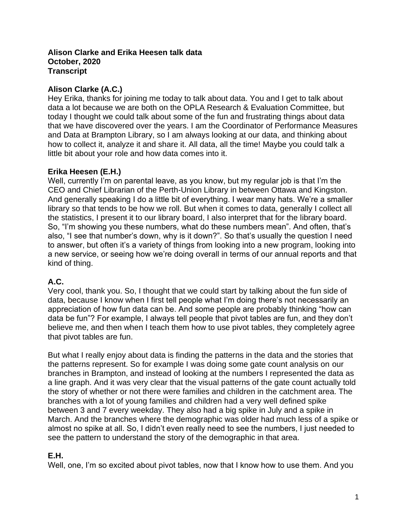#### **Alison Clarke and Erika Heesen talk data October, 2020 Transcript**

## **Alison Clarke (A.C.)**

Hey Erika, thanks for joining me today to talk about data. You and I get to talk about data a lot because we are both on the OPLA Research & Evaluation Committee, but today I thought we could talk about some of the fun and frustrating things about data that we have discovered over the years. I am the Coordinator of Performance Measures and Data at Brampton Library, so I am always looking at our data, and thinking about how to collect it, analyze it and share it. All data, all the time! Maybe you could talk a little bit about your role and how data comes into it.

# **Erika Heesen (E.H.)**

Well, currently I'm on parental leave, as you know, but my regular job is that I'm the CEO and Chief Librarian of the Perth-Union Library in between Ottawa and Kingston. And generally speaking I do a little bit of everything. I wear many hats. We're a smaller library so that tends to be how we roll. But when it comes to data, generally I collect all the statistics, I present it to our library board, I also interpret that for the library board. So, "I'm showing you these numbers, what do these numbers mean". And often, that's also, "I see that number's down, why is it down?". So that's usually the question I need to answer, but often it's a variety of things from looking into a new program, looking into a new service, or seeing how we're doing overall in terms of our annual reports and that kind of thing.

# **A.C.**

Very cool, thank you. So, I thought that we could start by talking about the fun side of data, because I know when I first tell people what I'm doing there's not necessarily an appreciation of how fun data can be. And some people are probably thinking "how can data be fun"? For example, I always tell people that pivot tables are fun, and they don't believe me, and then when I teach them how to use pivot tables, they completely agree that pivot tables are fun.

But what I really enjoy about data is finding the patterns in the data and the stories that the patterns represent. So for example I was doing some gate count analysis on our branches in Brampton, and instead of looking at the numbers I represented the data as a line graph. And it was very clear that the visual patterns of the gate count actually told the story of whether or not there were families and children in the catchment area. The branches with a lot of young families and children had a very well defined spike between 3 and 7 every weekday. They also had a big spike in July and a spike in March. And the branches where the demographic was older had much less of a spike or almost no spike at all. So, I didn't even really need to see the numbers, I just needed to see the pattern to understand the story of the demographic in that area.

### **E.H.**

Well, one, I'm so excited about pivot tables, now that I know how to use them. And you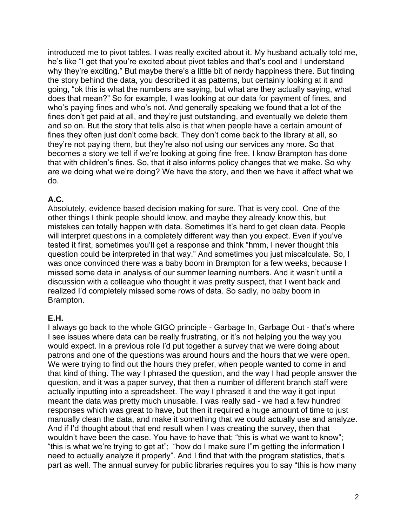introduced me to pivot tables. I was really excited about it. My husband actually told me, he's like "I get that you're excited about pivot tables and that's cool and I understand why they're exciting." But maybe there's a little bit of nerdy happiness there. But finding the story behind the data, you described it as patterns, but certainly looking at it and going, "ok this is what the numbers are saying, but what are they actually saying, what does that mean?" So for example, I was looking at our data for payment of fines, and who's paying fines and who's not. And generally speaking we found that a lot of the fines don't get paid at all, and they're just outstanding, and eventually we delete them and so on. But the story that tells also is that when people have a certain amount of fines they often just don't come back. They don't come back to the library at all, so they're not paying them, but they're also not using our services any more. So that becomes a story we tell if we're looking at going fine free. I know Brampton has done that with children's fines. So, that it also informs policy changes that we make. So why are we doing what we're doing? We have the story, and then we have it affect what we do.

### **A.C.**

Absolutely, evidence based decision making for sure. That is very cool. One of the other things I think people should know, and maybe they already know this, but mistakes can totally happen with data. Sometimes It's hard to get clean data. People will interpret questions in a completely different way than you expect. Even if you've tested it first, sometimes you'll get a response and think "hmm, I never thought this question could be interpreted in that way." And sometimes you just miscalculate. So, I was once convinced there was a baby boom in Brampton for a few weeks, because I missed some data in analysis of our summer learning numbers. And it wasn't until a discussion with a colleague who thought it was pretty suspect, that I went back and realized I'd completely missed some rows of data. So sadly, no baby boom in Brampton.

#### **E.H.**

I always go back to the whole GIGO principle - Garbage In, Garbage Out - that's where I see issues where data can be really frustrating, or it's not helping you the way you would expect. In a previous role I'd put together a survey that we were doing about patrons and one of the questions was around hours and the hours that we were open. We were trying to find out the hours they prefer, when people wanted to come in and that kind of thing. The way I phrased the question, and the way I had people answer the question, and it was a paper survey, that then a number of different branch staff were actually inputting into a spreadsheet. The way I phrased it and the way it got input meant the data was pretty much unusable. I was really sad - we had a few hundred responses which was great to have, but then it required a huge amount of time to just manually clean the data, and make it something that we could actually use and analyze. And if I'd thought about that end result when I was creating the survey, then that wouldn't have been the case. You have to have that; "this is what we want to know"; "this is what we're trying to get at"; "how do I make sure I"m getting the information I need to actually analyze it properly". And I find that with the program statistics, that's part as well. The annual survey for public libraries requires you to say "this is how many